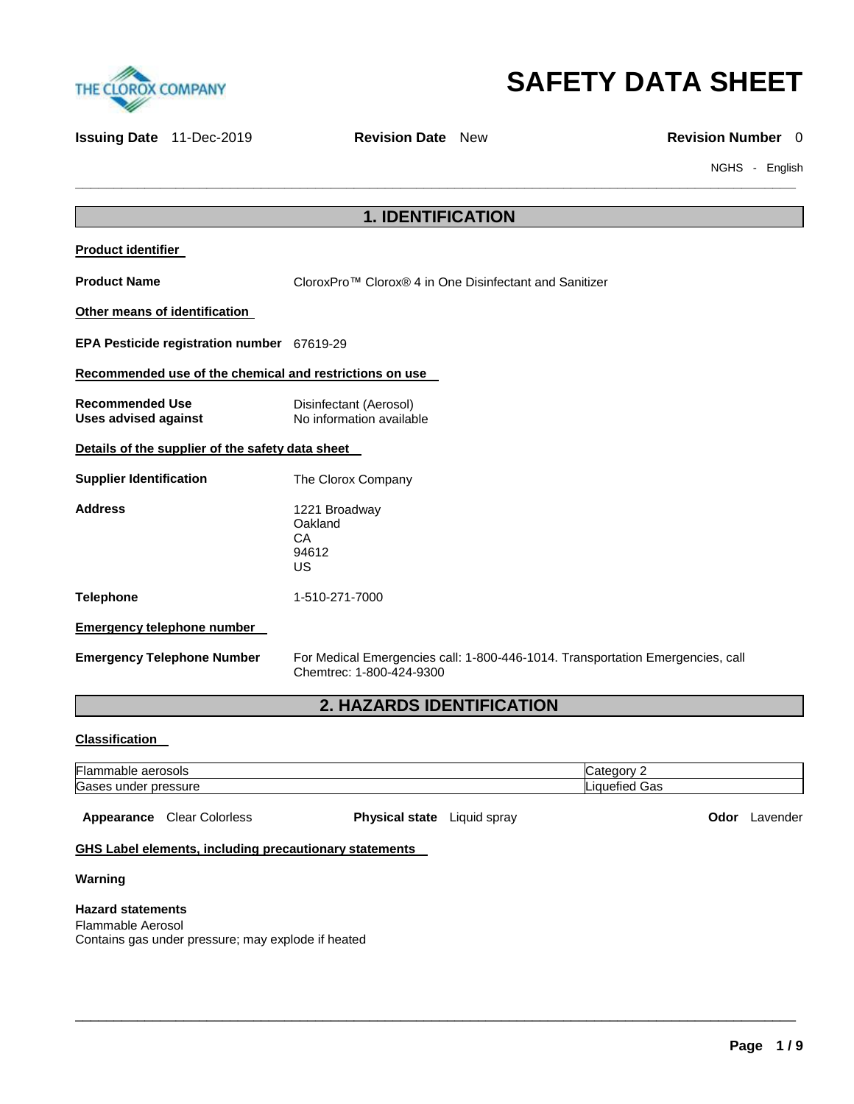



**Issuing Date** 11-Dec-2019 **Revision Date** New **Revision Number 0** 

**\_\_\_\_\_\_\_\_\_\_\_\_\_\_\_\_\_\_\_\_\_\_\_\_\_\_\_\_\_\_\_\_\_\_\_\_\_\_\_\_\_\_\_\_\_\_\_\_\_\_\_\_\_\_\_\_\_\_\_\_\_\_\_\_\_\_\_\_\_\_\_\_\_\_\_\_\_\_\_\_\_\_\_\_\_\_\_\_\_\_\_\_\_** 

NGHS - English

| <b>1. IDENTIFICATION</b>                                |                                                                                                            |  |
|---------------------------------------------------------|------------------------------------------------------------------------------------------------------------|--|
| <b>Product identifier</b>                               |                                                                                                            |  |
| <b>Product Name</b>                                     | CloroxPro™ Clorox® 4 in One Disinfectant and Sanitizer                                                     |  |
| Other means of identification                           |                                                                                                            |  |
| EPA Pesticide registration number 67619-29              |                                                                                                            |  |
| Recommended use of the chemical and restrictions on use |                                                                                                            |  |
| <b>Recommended Use</b><br><b>Uses advised against</b>   | Disinfectant (Aerosol)<br>No information available                                                         |  |
| Details of the supplier of the safety data sheet        |                                                                                                            |  |
| <b>Supplier Identification</b>                          | The Clorox Company                                                                                         |  |
| <b>Address</b>                                          | 1221 Broadway<br>Oakland<br>CA<br>94612<br><b>US</b>                                                       |  |
| <b>Telephone</b>                                        | 1-510-271-7000                                                                                             |  |
| <b>Emergency telephone number</b>                       |                                                                                                            |  |
| <b>Emergency Telephone Number</b>                       | For Medical Emergencies call: 1-800-446-1014. Transportation Emergencies, call<br>Chemtrec: 1-800-424-9300 |  |
| <b>2. HAZARDS IDENTIFICATION</b>                        |                                                                                                            |  |

# **Classification**

| <b>Fla</b><br>$     -$<br>rosois<br>ial |     |
|-----------------------------------------|-----|
| Gas<br>n<br>naer<br>or.<br>ssure<br>.   | эas |

Appearance Clear Colorless **Physical state** Liquid spray **Color Lavender Odor Lavender** 

\_\_\_\_\_\_\_\_\_\_\_\_\_\_\_\_\_\_\_\_\_\_\_\_\_\_\_\_\_\_\_\_\_\_\_\_\_\_\_\_\_\_\_\_\_\_\_\_\_\_\_\_\_\_\_\_\_\_\_\_\_\_\_\_\_\_\_\_\_\_\_\_\_\_\_\_\_\_\_\_\_\_\_\_\_\_\_\_\_\_\_\_\_

# **GHS Label elements, including precautionary statements**

### **Warning**

### **Hazard statements**

Flammable Aerosol Contains gas under pressure; may explode if heated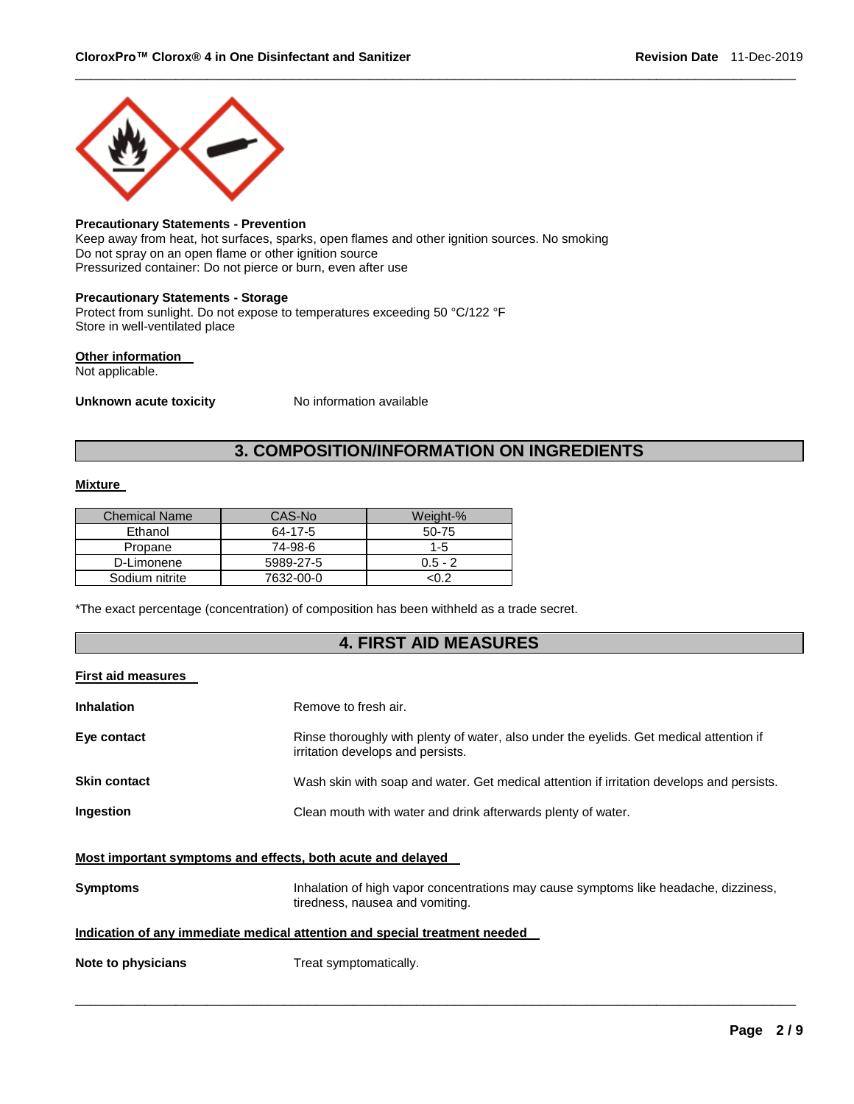

### **Precautionary Statements - Prevention**

Keep away from heat, hot surfaces, sparks, open flames and other ignition sources. No smoking Do not spray on an open flame or other ignition source Pressurized container: Do not pierce or burn, even after use

### **Precautionary Statements - Storage**

Protect from sunlight. Do not expose to temperatures exceeding 50 °C/122 °F Store in well-ventilated place

## **Other information**

Not applicable.

**Unknown acute toxicity** No information available

# **3. COMPOSITION/INFORMATION ON INGREDIENTS**

\_\_\_\_\_\_\_\_\_\_\_\_\_\_\_\_\_\_\_\_\_\_\_\_\_\_\_\_\_\_\_\_\_\_\_\_\_\_\_\_\_\_\_\_\_\_\_\_\_\_\_\_\_\_\_\_\_\_\_\_\_\_\_\_\_\_\_\_\_\_\_\_\_\_\_\_\_\_\_\_\_\_\_\_\_\_\_\_\_\_\_\_\_

### **Mixture**

| <b>Chemical Name</b> | CAS-No    | Weight-%  |
|----------------------|-----------|-----------|
| Ethanol              | 64-17-5   | $50-75$   |
| Propane              | 74-98-6   | $1 - 5$   |
| D-Limonene           | 5989-27-5 | $0.5 - 2$ |
| Sodium nitrite       | 7632-00-0 | <በ 2      |

\*The exact percentage (concentration) of composition has been withheld as a trade secret.

# **4. FIRST AID MEASURES**

### **First aid measures**

| <b>Inhalation</b>   | Remove to fresh air.                                                                                                         |
|---------------------|------------------------------------------------------------------------------------------------------------------------------|
| Eye contact         | Rinse thoroughly with plenty of water, also under the eyelids. Get medical attention if<br>irritation develops and persists. |
| <b>Skin contact</b> | Wash skin with soap and water. Get medical attention if irritation develops and persists.                                    |
| Ingestion           | Clean mouth with water and drink afterwards plenty of water.                                                                 |
|                     |                                                                                                                              |

# **Most important symptoms and effects, both acute and delayed**

| <b>Symptoms</b> | Inhalation of high vapor concentrations may cause symptoms like headache, dizziness, |
|-----------------|--------------------------------------------------------------------------------------|
|                 | tiredness, nausea and vomiting.                                                      |

\_\_\_\_\_\_\_\_\_\_\_\_\_\_\_\_\_\_\_\_\_\_\_\_\_\_\_\_\_\_\_\_\_\_\_\_\_\_\_\_\_\_\_\_\_\_\_\_\_\_\_\_\_\_\_\_\_\_\_\_\_\_\_\_\_\_\_\_\_\_\_\_\_\_\_\_\_\_\_\_\_\_\_\_\_\_\_\_\_\_\_\_\_

### **Indication of any immediate medical attention and special treatment needed**

**Note to physicians Treat symptomatically.**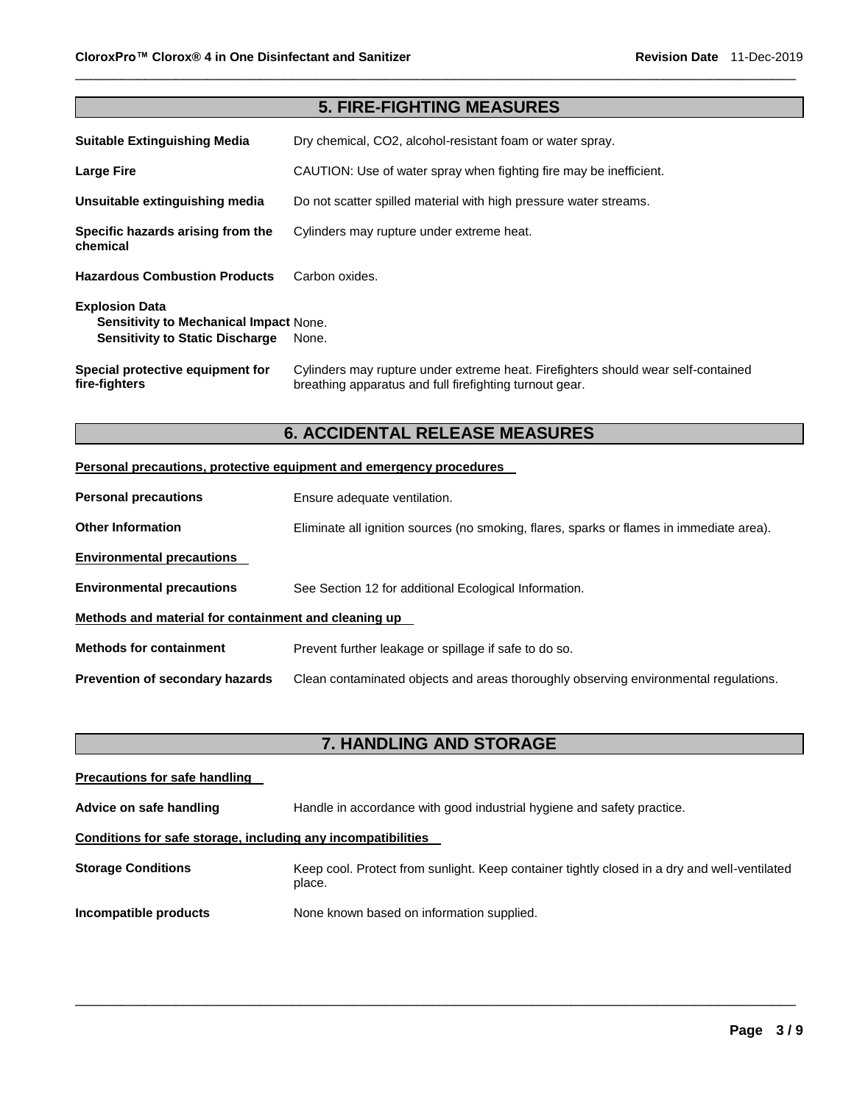| <b>5. FIRE-FIGHTING MEASURES</b>                                                                                 |                                                                                                                                              |  |
|------------------------------------------------------------------------------------------------------------------|----------------------------------------------------------------------------------------------------------------------------------------------|--|
| <b>Suitable Extinguishing Media</b>                                                                              | Dry chemical, CO2, alcohol-resistant foam or water spray.                                                                                    |  |
| Large Fire                                                                                                       | CAUTION: Use of water spray when fighting fire may be inefficient.                                                                           |  |
| Unsuitable extinguishing media                                                                                   | Do not scatter spilled material with high pressure water streams.                                                                            |  |
| Specific hazards arising from the<br>chemical                                                                    | Cylinders may rupture under extreme heat.                                                                                                    |  |
| <b>Hazardous Combustion Products</b>                                                                             | Carbon oxides.                                                                                                                               |  |
| <b>Explosion Data</b><br><b>Sensitivity to Mechanical Impact None.</b><br><b>Sensitivity to Static Discharge</b> | None.                                                                                                                                        |  |
| Special protective equipment for<br>fire-fighters                                                                | Cylinders may rupture under extreme heat. Firefighters should wear self-contained<br>breathing apparatus and full firefighting turnout gear. |  |

\_\_\_\_\_\_\_\_\_\_\_\_\_\_\_\_\_\_\_\_\_\_\_\_\_\_\_\_\_\_\_\_\_\_\_\_\_\_\_\_\_\_\_\_\_\_\_\_\_\_\_\_\_\_\_\_\_\_\_\_\_\_\_\_\_\_\_\_\_\_\_\_\_\_\_\_\_\_\_\_\_\_\_\_\_\_\_\_\_\_\_\_\_

# **6. ACCIDENTAL RELEASE MEASURES**

# **Personal precautions, protective equipment and emergency procedures**

| <b>Personal precautions</b>                          | Ensure adequate ventilation.                                                             |  |
|------------------------------------------------------|------------------------------------------------------------------------------------------|--|
| <b>Other Information</b>                             | Eliminate all ignition sources (no smoking, flares, sparks or flames in immediate area). |  |
| <b>Environmental precautions</b>                     |                                                                                          |  |
| <b>Environmental precautions</b>                     | See Section 12 for additional Ecological Information.                                    |  |
| Methods and material for containment and cleaning up |                                                                                          |  |
| <b>Methods for containment</b>                       | Prevent further leakage or spillage if safe to do so.                                    |  |
| <b>Prevention of secondary hazards</b>               | Clean contaminated objects and areas thoroughly observing environmental regulations.     |  |

# **7. HANDLING AND STORAGE**

| <b>Precautions for safe handling</b>                         |                                                                                                        |  |  |
|--------------------------------------------------------------|--------------------------------------------------------------------------------------------------------|--|--|
| Advice on safe handling                                      | Handle in accordance with good industrial hygiene and safety practice.                                 |  |  |
| Conditions for safe storage, including any incompatibilities |                                                                                                        |  |  |
| <b>Storage Conditions</b>                                    | Keep cool. Protect from sunlight. Keep container tightly closed in a dry and well-ventilated<br>place. |  |  |
| Incompatible products                                        | None known based on information supplied.                                                              |  |  |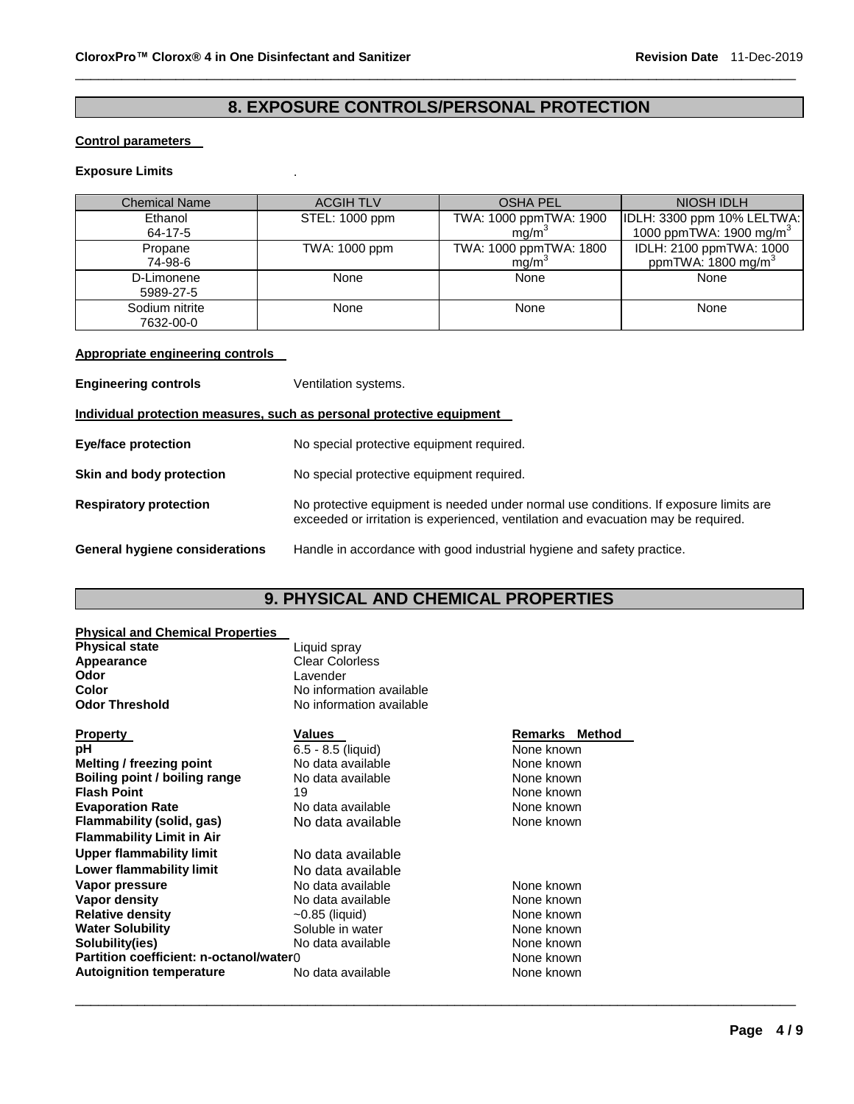# **8. EXPOSURE CONTROLS/PERSONAL PROTECTION**

\_\_\_\_\_\_\_\_\_\_\_\_\_\_\_\_\_\_\_\_\_\_\_\_\_\_\_\_\_\_\_\_\_\_\_\_\_\_\_\_\_\_\_\_\_\_\_\_\_\_\_\_\_\_\_\_\_\_\_\_\_\_\_\_\_\_\_\_\_\_\_\_\_\_\_\_\_\_\_\_\_\_\_\_\_\_\_\_\_\_\_\_\_

## **Control parameters**

# **Exposure Limits** .

| <b>Chemical Name</b> | <b>ACGIH TLV</b> | <b>OSHA PEL</b>        | NIOSH IDLH                          |
|----------------------|------------------|------------------------|-------------------------------------|
| Ethanol              | STEL: 1000 ppm   | TWA: 1000 ppmTWA: 1900 | IDLH: 3300 ppm 10% LELTWA:          |
| 64-17-5              |                  | ma/m <sup>3</sup>      | 1000 ppmTWA: 1900 mg/m <sup>3</sup> |
| Propane              | TWA: 1000 ppm    | TWA: 1000 ppmTWA: 1800 | IDLH: 2100 ppmTWA: 1000             |
| 74-98-6              |                  | mg/m <sup>3</sup>      | ppmTWA: 1800 mg/m <sup>3</sup>      |
| D-Limonene           | None             | None                   | None                                |
| 5989-27-5            |                  |                        |                                     |
| Sodium nitrite       | None             | None                   | None                                |
| 7632-00-0            |                  |                        |                                     |

## **Appropriate engineering controls**

| <b>Engineering controls</b>                                           | Ventilation systems.                                                                                                                                                        |  |
|-----------------------------------------------------------------------|-----------------------------------------------------------------------------------------------------------------------------------------------------------------------------|--|
| Individual protection measures, such as personal protective equipment |                                                                                                                                                                             |  |
| <b>Eye/face protection</b>                                            | No special protective equipment required.                                                                                                                                   |  |
| Skin and body protection                                              | No special protective equipment required.                                                                                                                                   |  |
| <b>Respiratory protection</b>                                         | No protective equipment is needed under normal use conditions. If exposure limits are<br>exceeded or irritation is experienced, ventilation and evacuation may be required. |  |
| General hygiene considerations                                        | Handle in accordance with good industrial hygiene and safety practice.                                                                                                      |  |

# **9. PHYSICAL AND CHEMICAL PROPERTIES**

\_\_\_\_\_\_\_\_\_\_\_\_\_\_\_\_\_\_\_\_\_\_\_\_\_\_\_\_\_\_\_\_\_\_\_\_\_\_\_\_\_\_\_\_\_\_\_\_\_\_\_\_\_\_\_\_\_\_\_\_\_\_\_\_\_\_\_\_\_\_\_\_\_\_\_\_\_\_\_\_\_\_\_\_\_\_\_\_\_\_\_\_\_

# **Physical and Chemical Properties**

| <b>Physical state</b>                   | Liquid spray             |                |
|-----------------------------------------|--------------------------|----------------|
| Appearance                              | <b>Clear Colorless</b>   |                |
| Odor                                    | Lavender                 |                |
| Color                                   | No information available |                |
| <b>Odor Threshold</b>                   | No information available |                |
| Property                                | <b>Values</b>            | Remarks Method |
| pН                                      | $6.5 - 8.5$ (liquid)     | None known     |
| <b>Melting / freezing point</b>         | No data available        | None known     |
| Boiling point / boiling range           | No data available        | None known     |
| <b>Flash Point</b>                      | 19                       | None known     |
| <b>Evaporation Rate</b>                 | No data available        | None known     |
| Flammability (solid, gas)               | No data available        | None known     |
| <b>Flammability Limit in Air</b>        |                          |                |
| <b>Upper flammability limit</b>         | No data available        |                |
| Lower flammability limit                | No data available        |                |
| Vapor pressure                          | No data available        | None known     |
| Vapor density                           | No data available        | None known     |
| <b>Relative density</b>                 | $\sim$ 0.85 (liquid)     | None known     |
| <b>Water Solubility</b>                 | Soluble in water         | None known     |
| Solubility(ies)                         | No data available        | None known     |
| Partition coefficient: n-octanol/water0 |                          | None known     |
| <b>Autoignition temperature</b>         | No data available        | None known     |
|                                         |                          |                |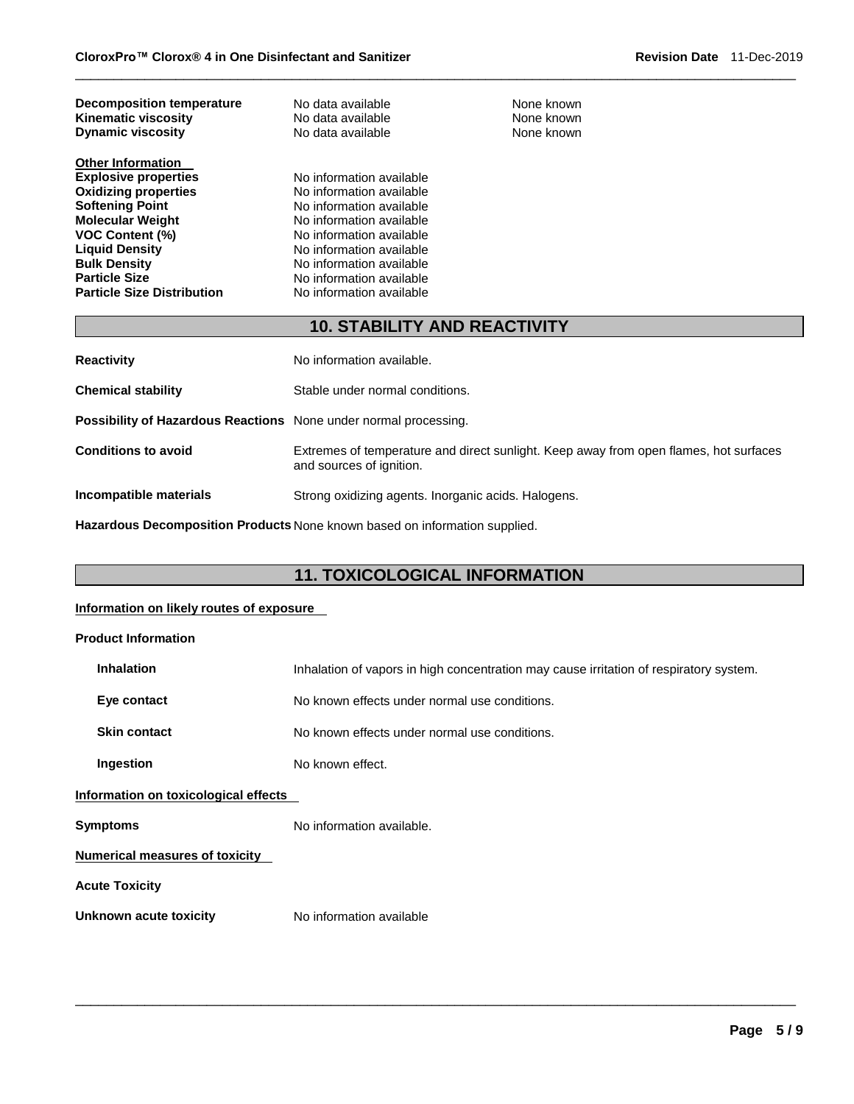| <b>Decomposition temperature</b><br><b>Kinematic viscosity</b><br><b>Dynamic viscosity</b> | No data available<br>No data available<br>No data available |
|--------------------------------------------------------------------------------------------|-------------------------------------------------------------|
| <b>Other Information</b>                                                                   |                                                             |
| <b>Explosive properties</b>                                                                | No information available                                    |
| <b>Oxidizing properties</b>                                                                | No information available                                    |
| <b>Softening Point</b>                                                                     | No information available                                    |
| <b>Molecular Weight</b>                                                                    | No information available                                    |
| <b>VOC Content (%)</b>                                                                     | No information available                                    |
| <b>Liquid Density</b>                                                                      | No information available                                    |
| <b>Bulk Density</b>                                                                        | No information available                                    |
| <b>Particle Size</b>                                                                       | No information available                                    |
| <b>Particle Size Distribution</b>                                                          | No information available                                    |

# **10. STABILITY AND REACTIVITY**

\_\_\_\_\_\_\_\_\_\_\_\_\_\_\_\_\_\_\_\_\_\_\_\_\_\_\_\_\_\_\_\_\_\_\_\_\_\_\_\_\_\_\_\_\_\_\_\_\_\_\_\_\_\_\_\_\_\_\_\_\_\_\_\_\_\_\_\_\_\_\_\_\_\_\_\_\_\_\_\_\_\_\_\_\_\_\_\_\_\_\_\_\_

**None known None known None known** 

| <b>Reactivity</b>                                                       | No information available.                                                                                         |
|-------------------------------------------------------------------------|-------------------------------------------------------------------------------------------------------------------|
| <b>Chemical stability</b>                                               | Stable under normal conditions.                                                                                   |
| <b>Possibility of Hazardous Reactions</b> None under normal processing. |                                                                                                                   |
| <b>Conditions to avoid</b>                                              | Extremes of temperature and direct sunlight. Keep away from open flames, hot surfaces<br>and sources of ignition. |
| Incompatible materials                                                  | Strong oxidizing agents. Inorganic acids. Halogens.                                                               |

**Hazardous Decomposition Products** None known based on information supplied.

# **11. TOXICOLOGICAL INFORMATION**

## **Information on likely routes of exposure**

| <b>Product Information</b>            |                                                                                        |
|---------------------------------------|----------------------------------------------------------------------------------------|
| <b>Inhalation</b>                     | Inhalation of vapors in high concentration may cause irritation of respiratory system. |
| Eye contact                           | No known effects under normal use conditions.                                          |
| <b>Skin contact</b>                   | No known effects under normal use conditions.                                          |
| Ingestion                             | No known effect.                                                                       |
| Information on toxicological effects  |                                                                                        |
| <b>Symptoms</b>                       | No information available.                                                              |
| <b>Numerical measures of toxicity</b> |                                                                                        |
| <b>Acute Toxicity</b>                 |                                                                                        |
| Unknown acute toxicity                | No information available                                                               |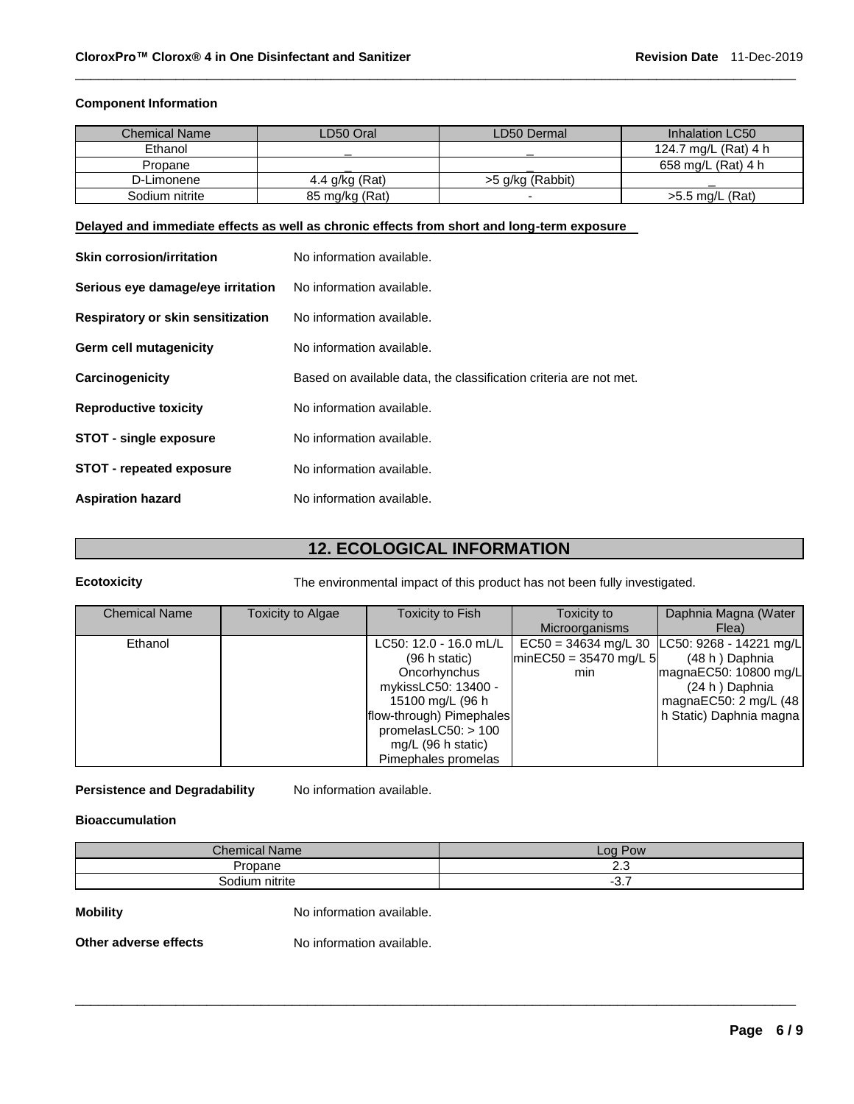# **Component Information**

| <b>Chemical Name</b> | ∟D50 Oral      | LD50 Dermal              | Inhalation LC50      |
|----------------------|----------------|--------------------------|----------------------|
| Ethanol              |                |                          | 124.7 mg/L (Rat) 4 h |
| Propane              |                |                          | 658 mg/L (Rat) 4 h   |
| D-Limonene           | 4.4 g/kg (Rat) | >5 g/kg (Rabbit)         |                      |
| Sodium nitrite       | 85 mg/kg (Rat) | $\overline{\phantom{a}}$ | $>5.5$ mg/L (Rat)    |

\_\_\_\_\_\_\_\_\_\_\_\_\_\_\_\_\_\_\_\_\_\_\_\_\_\_\_\_\_\_\_\_\_\_\_\_\_\_\_\_\_\_\_\_\_\_\_\_\_\_\_\_\_\_\_\_\_\_\_\_\_\_\_\_\_\_\_\_\_\_\_\_\_\_\_\_\_\_\_\_\_\_\_\_\_\_\_\_\_\_\_\_\_

## **Delayed and immediate effects as well as chronic effects from short and long-term exposure**

| <b>Skin corrosion/irritation</b>  | No information available.                                         |
|-----------------------------------|-------------------------------------------------------------------|
| Serious eye damage/eye irritation | No information available.                                         |
| Respiratory or skin sensitization | No information available.                                         |
| Germ cell mutagenicity            | No information available.                                         |
| Carcinogenicity                   | Based on available data, the classification criteria are not met. |
| <b>Reproductive toxicity</b>      | No information available.                                         |
| <b>STOT - single exposure</b>     | No information available.                                         |
| <b>STOT - repeated exposure</b>   | No information available.                                         |
| <b>Aspiration hazard</b>          | No information available.                                         |

# **12. ECOLOGICAL INFORMATION**

**Ecotoxicity** The environmental impact of this product has not been fully investigated.

| <b>Chemical Name</b> | Toxicity to Algae | <b>Toxicity to Fish</b>  | Toxicity to              | Daphnia Magna (Water    |
|----------------------|-------------------|--------------------------|--------------------------|-------------------------|
|                      |                   |                          | <b>Microorganisms</b>    | Flea)                   |
| Ethanol              |                   | LC50: 12.0 - 16.0 mL/L   | $EC50 = 34634$ mg/L 30   | LC50: 9268 - 14221 mg/L |
|                      |                   | (96 h state)             | $minEC50 = 35470$ mg/L 5 | (48 h) Daphnia          |
|                      |                   | Oncorhynchus             | min                      | magnaEC50: 10800 mg/L   |
|                      |                   | mykissLC50: 13400 -      |                          | (24 h) Daphnia          |
|                      |                   | 15100 mg/L (96 h         |                          | magnaEC50: 2 mg/L (48   |
|                      |                   | flow-through) Pimephales |                          | h Static) Daphnia magna |
|                      |                   | promelas $LC50:$ > 100   |                          |                         |
|                      |                   | mg/L (96 h static)       |                          |                         |
|                      |                   | Pimephales promelas      |                          |                         |

# **Persistence and Degradability** No information available.

## **Bioaccumulation**

| <b>Chemical Name</b> | Pow<br>$\sim$ 00 |
|----------------------|------------------|
| Propane              | ن. ے             |
| Sodium nitrite       | י.ט              |

\_\_\_\_\_\_\_\_\_\_\_\_\_\_\_\_\_\_\_\_\_\_\_\_\_\_\_\_\_\_\_\_\_\_\_\_\_\_\_\_\_\_\_\_\_\_\_\_\_\_\_\_\_\_\_\_\_\_\_\_\_\_\_\_\_\_\_\_\_\_\_\_\_\_\_\_\_\_\_\_\_\_\_\_\_\_\_\_\_\_\_\_\_

**Mobility Mobility No information available.**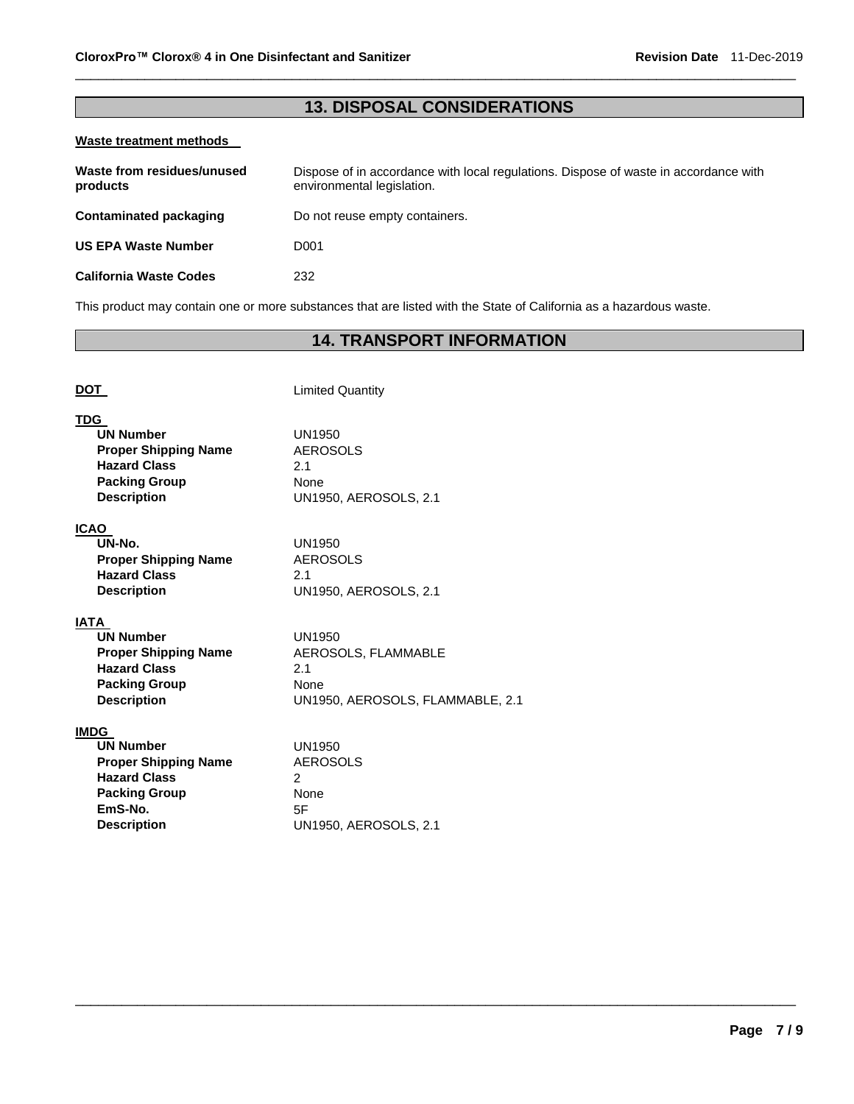# **13. DISPOSAL CONSIDERATIONS**

\_\_\_\_\_\_\_\_\_\_\_\_\_\_\_\_\_\_\_\_\_\_\_\_\_\_\_\_\_\_\_\_\_\_\_\_\_\_\_\_\_\_\_\_\_\_\_\_\_\_\_\_\_\_\_\_\_\_\_\_\_\_\_\_\_\_\_\_\_\_\_\_\_\_\_\_\_\_\_\_\_\_\_\_\_\_\_\_\_\_\_\_\_

## **Waste treatment methods**

| Waste from residues/unused<br>products | Dispose of in accordance with local regulations. Dispose of waste in accordance with<br>environmental legislation. |
|----------------------------------------|--------------------------------------------------------------------------------------------------------------------|
| Contaminated packaging                 | Do not reuse empty containers.                                                                                     |
| <b>US EPA Waste Number</b>             | D001                                                                                                               |
| <b>California Waste Codes</b>          | 232                                                                                                                |

This product may contain one or more substances that are listed with the State of California as a hazardous waste.

# **14. TRANSPORT INFORMATION**

| DOT                                                                                                                                            | <b>Limited Quantity</b>                                                                 |
|------------------------------------------------------------------------------------------------------------------------------------------------|-----------------------------------------------------------------------------------------|
| <b>TDG</b><br><b>UN Number</b><br><b>Proper Shipping Name</b><br><b>Hazard Class</b><br><b>Packing Group</b><br><b>Description</b>             | UN1950<br><b>AEROSOLS</b><br>2.1<br>None<br><b>UN1950, AEROSOLS, 2.1</b>                |
| <b>ICAO</b><br>UN-No.<br><b>Proper Shipping Name</b><br><b>Hazard Class</b><br><b>Description</b>                                              | UN1950<br><b>AEROSOLS</b><br>2.1<br><b>UN1950, AEROSOLS, 2.1</b>                        |
| <b>IATA</b><br><b>UN Number</b><br><b>Proper Shipping Name</b><br><b>Hazard Class</b><br><b>Packing Group</b><br><b>Description</b>            | UN1950<br>AEROSOLS, FLAMMABLE<br>2.1<br><b>None</b><br>UN1950, AEROSOLS, FLAMMABLE, 2.1 |
| <b>IMDG</b><br><b>UN Number</b><br><b>Proper Shipping Name</b><br><b>Hazard Class</b><br><b>Packing Group</b><br>EmS-No.<br><b>Description</b> | UN1950<br><b>AEROSOLS</b><br>2<br>None<br>5F<br><b>UN1950, AEROSOLS, 2.1</b>            |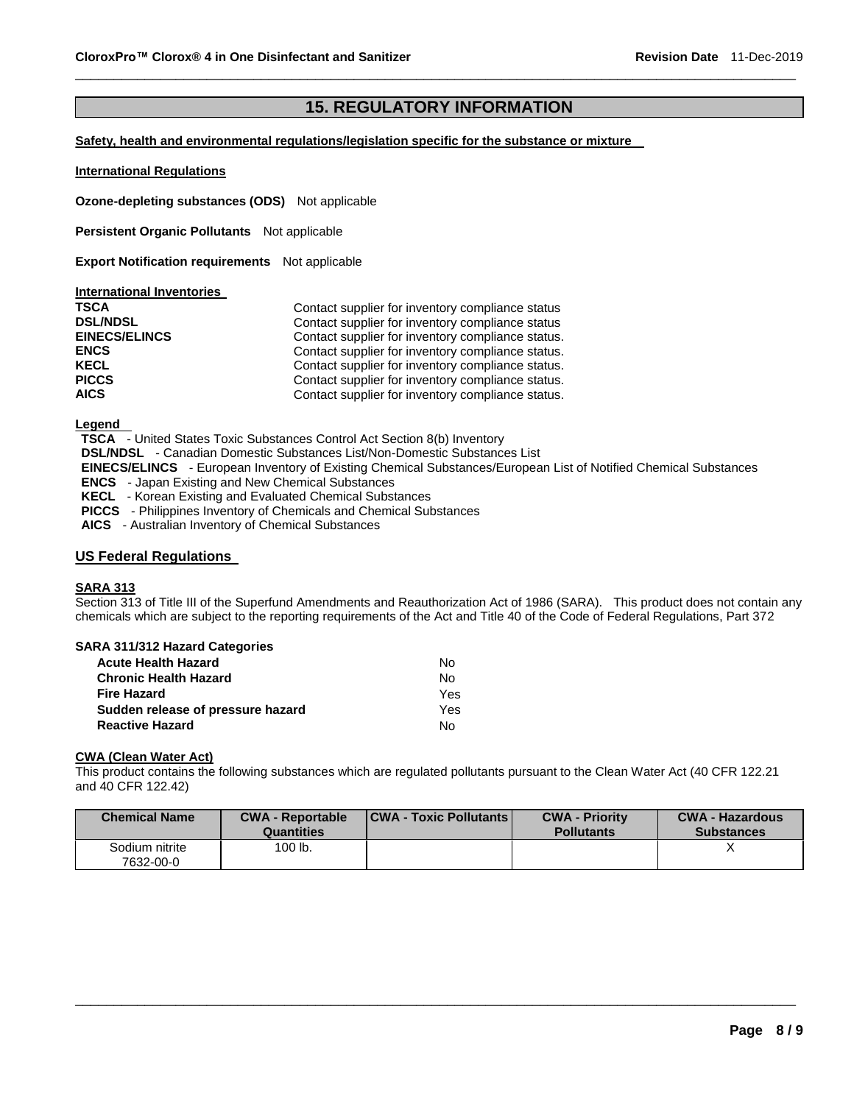# **15. REGULATORY INFORMATION**

\_\_\_\_\_\_\_\_\_\_\_\_\_\_\_\_\_\_\_\_\_\_\_\_\_\_\_\_\_\_\_\_\_\_\_\_\_\_\_\_\_\_\_\_\_\_\_\_\_\_\_\_\_\_\_\_\_\_\_\_\_\_\_\_\_\_\_\_\_\_\_\_\_\_\_\_\_\_\_\_\_\_\_\_\_\_\_\_\_\_\_\_\_

### **Safety, health and environmental regulations/legislation specific for the substance or mixture**

### **International Regulations**

**Ozone-depleting substances (ODS)** Not applicable

**Persistent Organic Pollutants** Not applicable

**Export Notification requirements** Not applicable

### **International Inventories**

| <b>TSCA</b>          | Contact supplier for inventory compliance status  |
|----------------------|---------------------------------------------------|
| <b>DSL/NDSL</b>      | Contact supplier for inventory compliance status  |
| <b>EINECS/ELINCS</b> | Contact supplier for inventory compliance status. |
| <b>ENCS</b>          | Contact supplier for inventory compliance status. |
| <b>KECL</b>          | Contact supplier for inventory compliance status. |
| <b>PICCS</b>         | Contact supplier for inventory compliance status. |
| <b>AICS</b>          | Contact supplier for inventory compliance status. |

**Legend** 

**TSCA** - United States Toxic Substances Control Act Section 8(b) Inventory

**DSL/NDSL** - Canadian Domestic Substances List/Non-Domestic Substances List

**EINECS/ELINCS** - European Inventory of Existing Chemical Substances/European List of Notified Chemical Substances

**ENCS** - Japan Existing and New Chemical Substances

**KECL** - Korean Existing and Evaluated Chemical Substances

**PICCS** - Philippines Inventory of Chemicals and Chemical Substances

**AICS** - Australian Inventory of Chemical Substances

# **US Federal Regulations**

## **SARA 313**

Section 313 of Title III of the Superfund Amendments and Reauthorization Act of 1986 (SARA). This product does not contain any chemicals which are subject to the reporting requirements of the Act and Title 40 of the Code of Federal Regulations, Part 372

## **SARA 311/312 Hazard Categories**

| <b>Acute Health Hazard</b>        | N٥         |
|-----------------------------------|------------|
| <b>Chronic Health Hazard</b>      | Nο         |
| <b>Fire Hazard</b>                | <b>Yes</b> |
| Sudden release of pressure hazard | Yes        |
| <b>Reactive Hazard</b>            | N٥         |

### **CWA (Clean Water Act)**

This product contains the following substances which are regulated pollutants pursuant to the Clean Water Act (40 CFR 122.21 and 40 CFR 122.42)

| <b>Chemical Name</b>        | <b>CWA - Reportable</b><br><b>Quantities</b> | <b>CWA - Toxic Pollutants</b> | <b>CWA - Priority</b><br><b>Pollutants</b> | <b>CWA - Hazardous</b><br><b>Substances</b> |
|-----------------------------|----------------------------------------------|-------------------------------|--------------------------------------------|---------------------------------------------|
| Sodium nitrite<br>7632-00-0 | 100 lb.                                      |                               |                                            |                                             |